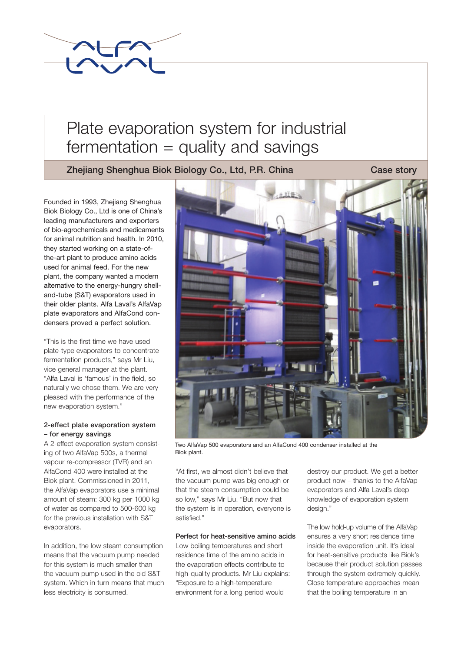

# Plate evaporation system for industrial  $fermentation = quality and savings$

Zhejiang Shenghua Biok Biology Co., Ltd, P.R. China Case story

Founded in 1993, Zhejiang Shenghua Biok Biology Co., Ltd is one of China's leading manufacturers and exporters of bio-agrochemicals and medicaments for animal nutrition and health. In 2010, they started working on a state-ofthe-art plant to produce amino acids used for animal feed. For the new plant, the company wanted a modern alternative to the energy-hungry shelland-tube (S&T) evaporators used in their older plants. Alfa Laval's AlfaVap plate evaporators and AlfaCond condensers proved a perfect solution.

"This is the first time we have used plate-type evaporators to concentrate fermentation products," says Mr Liu, vice general manager at the plant. "Alfa Laval is 'famous' in the field, so naturally we chose them. We are very pleased with the performance of the new evaporation system."

# 2-effect plate evaporation system – for energy savings

A 2-effect evaporation system consisting of two AlfaVap 500s, a thermal vapour re-compressor (TVR) and an AlfaCond 400 were installed at the Biok plant. Commissioned in 2011, the AlfaVap evaporators use a minimal amount of steam: 300 kg per 1000 kg of water as compared to 500-600 kg for the previous installation with S&T evaporators.

In addition, the low steam consumption means that the vacuum pump needed for this system is much smaller than the vacuum pump used in the old S&T system. Which in turn means that much less electricity is consumed.



Two AlfaVap 500 evaporators and an AlfaCond 400 condenser installed at the Biok plant.

"At first, we almost didn't believe that the vacuum pump was big enough or that the steam consumption could be so low," says Mr Liu. "But now that the system is in operation, everyone is satisfied."

# Perfect for heat-sensitive amino acids

Low boiling temperatures and short residence time of the amino acids in the evaporation effects contribute to high-quality products. Mr Liu explains: "Exposure to a high-temperature environment for a long period would

destroy our product. We get a better product now – thanks to the AlfaVap evaporators and Alfa Laval's deep knowledge of evaporation system design."

The low hold-up volume of the AlfaVap ensures a very short residence time inside the evaporation unit. It's ideal for heat-sensitive products like Biok's because their product solution passes through the system extremely quickly. Close temperature approaches mean that the boiling temperature in an